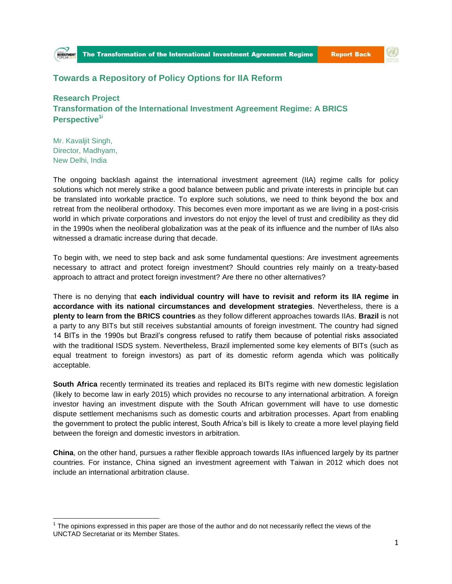

(を)

## **Towards a Repository of Policy Options for IIA Reform**

**Research Project Transformation of the International Investment Agreement Regime: A BRICS Perspective1i**

Mr. Kavaljit Singh, Director, Madhyam, New Delhi, India

 $\overline{\phantom{a}}$ 

The ongoing backlash against the international investment agreement (IIA) regime calls for policy solutions which not merely strike a good balance between public and private interests in principle but can be translated into workable practice. To explore such solutions, we need to think beyond the box and retreat from the neoliberal orthodoxy. This becomes even more important as we are living in a post-crisis world in which private corporations and investors do not enjoy the level of trust and credibility as they did in the 1990s when the neoliberal globalization was at the peak of its influence and the number of IIAs also witnessed a dramatic increase during that decade.

To begin with, we need to step back and ask some fundamental questions: Are investment agreements necessary to attract and protect foreign investment? Should countries rely mainly on a treaty-based approach to attract and protect foreign investment? Are there no other alternatives?

There is no denying that **each individual country will have to revisit and reform its IIA regime in accordance with its national circumstances and development strategies**. Nevertheless, there is a **plenty to learn from the BRICS countries** as they follow different approaches towards IIAs. **Brazil** is not a party to any BITs but still receives substantial amounts of foreign investment. The country had signed 14 BITs in the 1990s but Brazil's congress refused to ratify them because of potential risks associated with the traditional ISDS system. Nevertheless, Brazil implemented some key elements of BITs (such as equal treatment to foreign investors) as part of its domestic reform agenda which was politically acceptable.

**South Africa** recently terminated its treaties and replaced its BITs regime with new domestic legislation (likely to become law in early 2015) which provides no recourse to any international arbitration. A foreign investor having an investment dispute with the South African government will have to use domestic dispute settlement mechanisms such as domestic courts and arbitration processes. Apart from enabling the government to protect the public interest, South Africa's bill is likely to create a more level playing field between the foreign and domestic investors in arbitration.

**China**, on the other hand, pursues a rather flexible approach towards IIAs influenced largely by its partner countries. For instance, China signed an investment agreement with Taiwan in 2012 which does not include an international arbitration clause.

 $1$  The opinions expressed in this paper are those of the author and do not necessarily reflect the views of the UNCTAD Secretariat or its Member States.